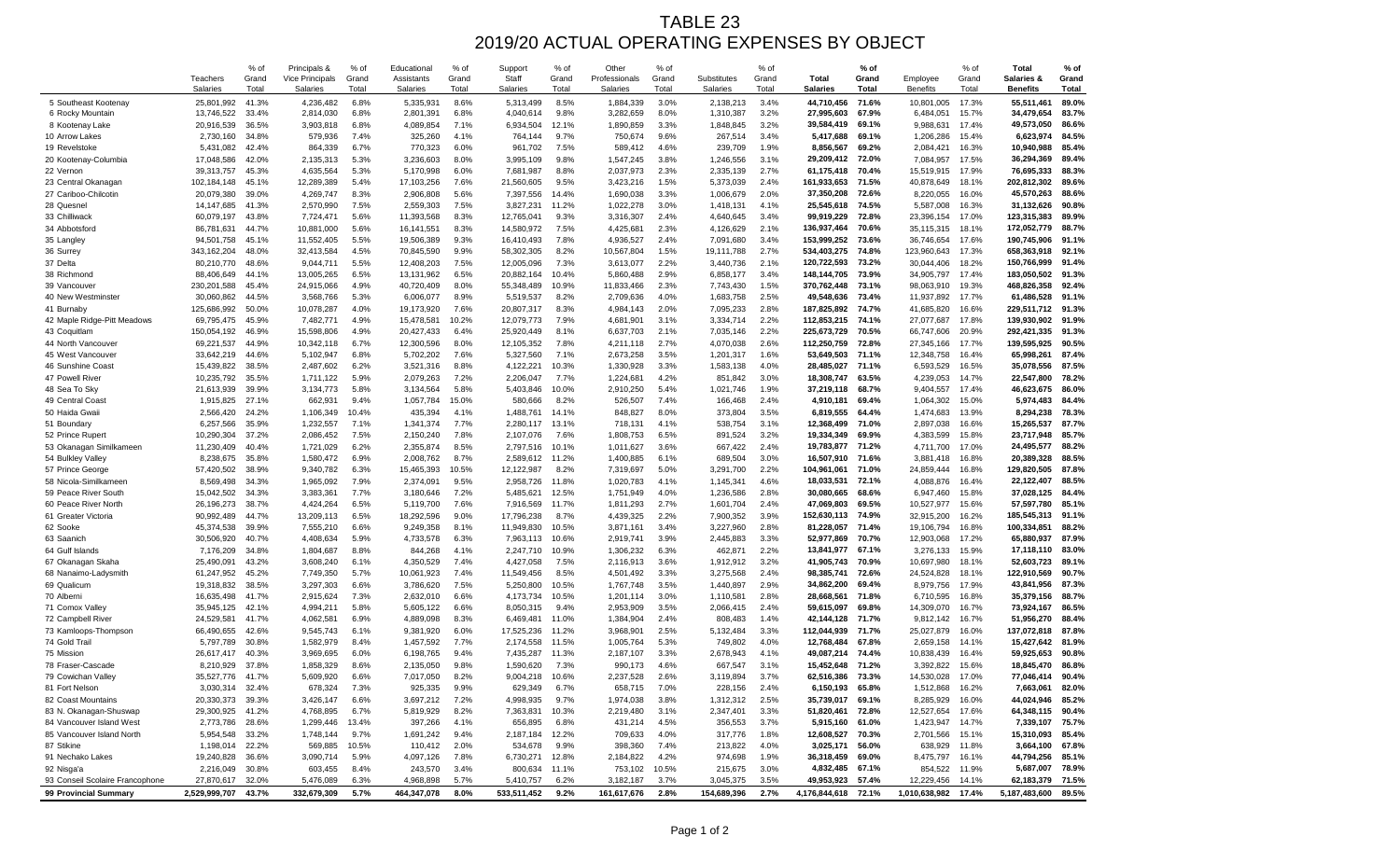## TABLE 23 2019/20 ACTUAL OPERATING EXPENSES BY OBJECT

|                                              |                                    | % of           | Principals &                              | % of           | Educational                   | % of           | Support                  | % of           | Other                            | % of           |                         | % of           |                                 | % of           |                             | % of           | <b>Total</b>                             | $%$ of                |
|----------------------------------------------|------------------------------------|----------------|-------------------------------------------|----------------|-------------------------------|----------------|--------------------------|----------------|----------------------------------|----------------|-------------------------|----------------|---------------------------------|----------------|-----------------------------|----------------|------------------------------------------|-----------------------|
|                                              | <b>Teachers</b><br><b>Salaries</b> | Grand<br>Total | <b>Vice Principals</b><br><b>Salaries</b> | Grand<br>Total | Assistants<br><b>Salaries</b> | Grand<br>Total | Staff<br><b>Salaries</b> | Grand<br>Total | Professionals<br><b>Salaries</b> | Grand<br>Total | Substitutes<br>Salaries | Grand<br>Total | <b>Total</b><br><b>Salaries</b> | Grand<br>Total | Employee<br><b>Benefits</b> | Grand<br>Total | <b>Salaries &amp;</b><br><b>Benefits</b> | Grand<br><b>Total</b> |
| 5 Southeast Kootenay                         | 25,801,992                         | 41.3%          | 4,236,482                                 | 6.8%           | 5,335,931                     | 8.6%           | 5,313,499                | 8.5%           | 1,884,339                        | 3.0%           | 2,138,213               | 3.4%           | 44,710,456                      | 71.6%          | 10,801,005                  | 17.3%          | 55,511,461                               | 89.0%                 |
| 6 Rocky Mountain                             | 13,746,522                         | 33.4%          | 2,814,030                                 | 6.8%           | 2,801,391                     | 6.8%           | 4,040,614                | 9.8%           | 3,282,659                        | 8.0%           | 1,310,387               | 3.2%           | 27,995,603                      | 67.9%          | 6,484,051                   | 15.7%          | 34,479,654                               | 83.7%                 |
| 8 Kootenay Lake                              | 20,916,539                         | 36.5%          | 3,903,818                                 | 6.8%           | 4,089,854                     | 7.1%           | 6,934,504                | 12.1%          | 1,890,859                        | 3.3%           | 1,848,845               | 3.2%           | 39,584,419                      | 69.1%          | 9,988,631                   | 17.4%          | 49,573,050                               | 86.6%                 |
| 10 Arrow Lakes                               | 2,730,160                          | 34.8%          | 579,936                                   | 7.4%           | 325,260                       | 4.1%           | 764,144                  | 9.7%           | 750,674                          | 9.6%           | 267,514                 | 3.4%           | 5,417,688                       | 69.1%          | 1,206,286                   | 15.4%          | 6,623,974                                | 84.5%                 |
| 19 Revelstoke                                | 5,431,082                          | 42.4%          | 864,339                                   | 6.7%           | 770,323                       | 6.0%           | 961,702                  | 7.5%           | 589,412                          | 4.6%           | 239,709                 | 1.9%           | 8,856,567                       | 69.2%          | 2,084,421                   | 16.3%          | 10,940,988                               | 85.4%                 |
| 20 Kootenay-Columbia                         | 17,048,586                         | 42.0%          | 2,135,313                                 | 5.3%           | 3,236,603                     | 8.0%           | 3,995,109                | 9.8%           | 1,547,245                        | 3.8%           | 1,246,556               | 3.1%           | 29,209,412                      | 72.0%          | 7,084,957                   | 17.5%          | 36,294,369                               | 89.4%                 |
| 22 Vernon                                    | 39,313,757                         | 45.3%          | 4,635,564                                 | 5.3%           | 5,170,998                     | 6.0%           | 7,681,987                | 8.8%           | 2,037,973                        | 2.3%           | 2,335,139               | 2.7%           | 61,175,418                      | 70.4%          | 15,519,915                  | 17.9%          | 76,695,333                               | 88.3%                 |
| 23 Central Okanagan                          | 102,184,148                        | 45.1%          | 12,289,389                                | 5.4%           | 17,103,256                    | 7.6%           | 21,560,605               | 9.5%           | 3,423,216                        | 1.5%           | 5,373,039               | 2.4%           | 161,933,653                     | 71.5%          | 40,878,649                  | 18.1%          | 202,812,302                              | 89.6%                 |
| 27 Cariboo-Chilcotin                         | 20,079,380                         | 39.0%          | 4,269,747                                 | 8.3%           | 2,906,808                     | 5.6%           | 7,397,556                | 14.4%          | 1,690,038                        | 3.3%           | 1,006,679               | 2.0%           | 37,350,208                      | 72.6%          | 8,220,055                   | 16.0%          | 45,570,263                               | 88.6%                 |
| 28 Quesnel                                   | 14,147,685                         | 41.3%          | 2,570,990                                 | 7.5%           | 2,559,303                     | 7.5%           | 3,827,231                | 11.2%          | 1,022,278                        | 3.0%           | 1,418,131               | 4.1%           | 25,545,618                      | 74.5%          | 5,587,008                   | 16.3%          | 31,132,626                               | $90.8\%$              |
| 33 Chilliwack                                | 60,079,197                         | 43.8%          | 7,724,471                                 | 5.6%           | 11,393,568                    | 8.3%           | 12,765,04                | 9.3%           | 3,316,307                        | 2.4%           | 4,640,645               | 3.4%           | 99,919,229                      | 72.8%          | 23,396,154                  | 17.0%          | 123,315,383                              | 89.9%                 |
| 34 Abbotsford                                | 86,781,631                         | 44.7%          | 10,881,000                                | 5.6%           | 16,141,551                    | 8.3%           | 14,580,972               | 7.5%           | 4,425,681                        | 2.3%           | 4,126,629               | 2.1%           | 136,937,464                     | 70.6%          | 35,115,315                  | 18.1%          | 172,052,779                              | 88.7%                 |
| 35 Langley                                   | 94,501,758                         | 45.1%          | 11,552,405                                | 5.5%           | 19,506,389                    | 9.3%           | 16,410,493               | 7.8%           | 4,936,527                        | 2.4%           | 7,091,680               | 3.4%           | 153,999,252                     | 73.6%          | 36,746,654                  | 17.6%          | 190,745,906                              | 91.1%                 |
| 36 Surrey                                    | 343,162,204                        | 48.0%          | 32,413,584                                | 4.5%           | 70,845,590                    | 9.9%           | 58,302,305               | 8.2%           | 10,567,804                       | 1.5%           | 19,111,788              | 2.7%           | 534,403,275                     | 74.8%          | 123,960,643                 | 17.3%          | 658,363,918                              | 92.1%                 |
| 37 Delta                                     | 80,210,770                         | 48.6%          | 9,044,711                                 | 5.5%           | 12,408,203                    | 7.5%           | 12,005,096               | 7.3%           | 3,613,077                        | 2.2%           | 3,440,736               | 2.1%           | 120,722,593                     | 73.2%          | 30,044,406                  | 18.2%          | 150,766,999                              | 91.4%                 |
| 38 Richmond                                  | 88,406,649                         | 44.1%          | 13,005,265                                | 6.5%           | 13,131,962                    | 6.5%           | 20,882,164               | 10.4%          | 5,860,488                        | 2.9%           | 6,858,177               | 3.4%           | 148,144,705                     | 73.9%          | 34,905,797                  | 17.4%          | 183,050,502                              | 91.3%                 |
| 39 Vancouver                                 | 230,201,588                        | 45.4%          | 24,915,066                                | 4.9%           | 40,720,409                    | 8.0%           | 55,348,489               | 10.9%          | 11,833,466                       | 2.3%           | 7,743,430               | 1.5%           | 370,762,448                     | 73.1%          | 98,063,910                  | 19.3%          | 468,826,358<br>61,486,528                | 92.4%<br>91.1%        |
| 40 New Westminster<br>41 Burnaby             | 30,060,862<br>125,686,992          | 44.5%<br>50.0% | 3,568,766<br>10,078,287                   | 5.3%<br>4.0%   | 6,006,077<br>19,173,920       | 8.9%<br>7.6%   | 5,519,537<br>20,807,317  | 8.2%<br>8.3%   | 2,709,636<br>4,984,143           | 4.0%<br>2.0%   | 1,683,758<br>7,095,233  | 2.5%<br>2.8%   | 49,548,636<br>187,825,892       | 73.4%<br>74.7% | 11,937,892<br>41,685,820    | 17.7%<br>16.6% | 229,511,712                              | 91.3%                 |
| 42 Maple Ridge-Pitt Meadows                  | 69,795,475                         | 45.9%          | 7,482,771                                 | 4.9%           | 15,478,581                    | 10.2%          | 12,079,773               | 7.9%           | 4,681,901                        | 3.1%           | 3,334,714               | 2.2%           | 112,853,215                     | 74.1%          | 27,077,687                  | 17.8%          | 139,930,902                              | 91.9%                 |
| 43 Coquitlam                                 | 150,054,192                        | 46.9%          | 15,598,806                                | 4.9%           | 20,427,433                    | 6.4%           | 25,920,449               | 8.1%           | 6,637,703                        | 2.1%           | 7,035,146               | 2.2%           | 225,673,729                     | 70.5%          | 66,747,606                  | 20.9%          | 292,421,335                              | 91.3%                 |
| 44 North Vancouver                           | 69,221,537                         | 44.9%          | 10,342,118                                | 6.7%           | 12,300,596                    | 8.0%           | 12,105,352               | 7.8%           | 4,211,118                        | 2.7%           | 4,070,038               | 2.6%           | 112,250,759                     | 72.8%          | 27,345,166                  | 17.7%          | 139,595,925                              | 90.5%                 |
| 45 West Vancouver                            | 33,642,219                         | 44.6%          | 5,102,947                                 | 6.8%           | 5,702,202                     | 7.6%           | 5,327,560                | 7.1%           | 2,673,258                        | 3.5%           | 1,201,317               | 1.6%           | 53,649,503                      | 71.1%          | 12,348,758                  | 16.4%          | 65,998,261                               | 87.4%                 |
| 46 Sunshine Coast                            | 15,439,822                         | 38.5%          | 2,487,602                                 | 6.2%           | 3,521,316                     | 8.8%           | 4,122,22'                | 10.3%          | 1,330,928                        | 3.3%           | 1,583,138               | 4.0%           | 28,485,027                      | 71.1%          | 6,593,529                   | 16.5%          | 35,078,556                               | 87.5%                 |
| 47 Powell River                              | 10,235,792                         | 35.5%          | 1,711,122                                 | 5.9%           | 2,079,263                     | 7.2%           | 2,206,047                | 7.7%           | 1,224,681                        | 4.2%           | 851,842                 | 3.0%           | 18,308,747                      | 63.5%          | 4,239,053                   | 14.7%          | 22,547,800                               | 78.2%                 |
| 48 Sea To Sky                                | 21,613,939                         | 39.9%          | 3,134,773                                 | 5.8%           | 3,134,564                     | 5.8%           | 5,403,846                | 10.0%          | 2,910,250                        | 5.4%           | 1,021,746               | 1.9%           | 37,219,118                      | 68.7%          | 9,404,557                   | 17.4%          | 46,623,675                               | 86.0%                 |
| 49 Central Coast                             | 1,915,825                          | 27.1%          | 662,931                                   | 9.4%           | 1,057,784                     | 15.0%          | 580,666                  | 8.2%           | 526,507                          | 7.4%           | 166,468                 | 2.4%           | 4,910,181                       | 69.4%          | 1,064,302                   | 15.0%          | 5,974,483                                | 84.4%                 |
| 50 Haida Gwaii                               | 2,566,420                          | 24.2%          | 1,106,349                                 | 10.4%          | 435,394                       | 4.1%           | 1,488,761                | 14.1%          | 848,827                          | 8.0%           | 373,804                 | 3.5%           | 6,819,555                       | 64.4%          | 1,474,683                   | 13.9%          | 8,294,238                                | 78.3%                 |
| 51 Boundary                                  | 6,257,566                          | 35.9%          | 1,232,557                                 | 7.1%           | 1,341,374                     | 7.7%           | 2,280,117                | 13.1%          | 718,131                          | 4.1%           | 538,754                 | 3.1%           | 12,368,499                      | 71.0%          | 2,897,038                   | 16.6%          | 15,265,537                               | 87.7%                 |
| 52 Prince Rupert                             | 10,290,304                         | 37.2%          | 2,086,452                                 | 7.5%           | 2,150,240                     | 7.8%           | 2,107,076                | 7.6%           | 1,808,753                        | 6.5%           | 891,524                 | 3.2%           | 19,334,349                      | 69.9%          | 4,383,599                   | 15.8%          | 23,717,948                               | 85.7%                 |
| 53 Okanagan Similkameen                      | 11,230,409                         | 40.4%          | 1,721,029                                 | 6.2%           | 2,355,874                     | 8.5%           | 2,797,516                | 10.1%          | 1,011,627                        | 3.6%           | 667,422                 | 2.4%           | 19,783,877                      | 71.2%          | 4,711,700                   | 17.0%          | 24,495,577                               | 88.2%                 |
| 54 Bulkley Valley                            | 8,238,675                          | 35.8%          | 1,580,472                                 | 6.9%           | 2,008,762                     | 8.7%           | 2,589,612                | 11.2%          | 1,400,885                        | 6.1%           | 689,504                 | 3.0%           | 16,507,910                      | 71.6%          | 3,881,418                   | 16.8%          | 20,389,328                               | 88.5%                 |
| 57 Prince George                             | 57,420,502                         | 38.9%          | 9,340,782                                 | 6.3%           | 15,465,393                    | 10.5%          | 12,122,987               | 8.2%           | 7,319,697                        | 5.0%           | 3,291,700               | 2.2%           | 104,961,061                     | 71.0%          | 24,859,444                  | 16.8%          | 129,820,505                              | 87.8%                 |
| 58 Nicola-Similkameen                        | 8,569,498                          | 34.3%          | 1,965,092                                 | 7.9%           | 2,374,091                     | 9.5%           | 2,958,726                | 11.8%          | 1,020,783                        | 4.1%           | 1,145,341               | 4.6%           | 18,033,531                      | 72.1%          | 4,088,876                   | 16.4%          | 22,122,407                               | 88.5%                 |
| 59 Peace River South<br>60 Peace River North | 15,042,502                         | 34.3%          | 3,383,361                                 | 7.7%           | 3,180,646                     | 7.2%           | 5,485,621<br>7,916,569   | 12.5%<br>11.7% | 1,751,949                        | 4.0%<br>2.7%   | 1,236,586<br>1,601,704  | 2.8%<br>2.4%   | 30,080,665<br>47,069,803        | 68.6%          | 6,947,460                   | 15.8%          | 37,028,125                               | 84.4%<br>85.1%        |
| 61 Greater Victoria                          | 26,196,273<br>90,992,489           | 38.7%<br>44.7% | 4,424,264<br>13,209,113                   | 6.5%<br>6.5%   | 5,119,700<br>18,292,596       | 7.6%<br>9.0%   | 17,796,238               | 8.7%           | 1,811,293<br>4,439,325           | 2.2%           | 7,900,352               | 3.9%           | 152,630,113                     | 69.5%<br>74.9% | 10,527,977<br>32,915,200    | 15.6%<br>16.2% | 57,597,780<br>185,545,313                | 91.1%                 |
| 62 Sooke                                     | 45,374,538                         | 39.9%          | 7,555,210                                 | 6.6%           | 9,249,358                     | 8.1%           | 11,949,830               | 10.5%          | 3,871,161                        | 3.4%           | 3,227,960               | 2.8%           | 81,228,057                      | 71.4%          | 19,106,794                  | 16.8%          | 100,334,851                              | 88.2%                 |
| 63 Saanich                                   | 30,506,920                         | 40.7%          | 4,408,634                                 | 5.9%           | 4,733,578                     | 6.3%           | 7,963,113                | 10.6%          | 2,919,741                        | 3.9%           | 2,445,883               | 3.3%           | 52,977,869                      | 70.7%          | 12,903,068                  | 17.2%          | 65,880,937                               | 87.9%                 |
| 64 Gulf Islands                              | 7,176,209                          | 34.8%          | 1,804,687                                 | 8.8%           | 844,268                       | 4.1%           | 2,247,710                | 10.9%          | 1,306,232                        | 6.3%           | 462,87                  | 2.2%           | 13,841,977                      | 67.1%          | 3,276,133                   | 15.9%          | 17,118,110                               | 83.0%                 |
| 67 Okanagan Skaha                            | 25,490,091                         | 43.2%          | 3,608,240                                 | 6.1%           | 4,350,529                     | 7.4%           | 4,427,058                | 7.5%           | 2,116,913                        | 3.6%           | 1,912,912               | 3.2%           | 41,905,743                      | 70.9%          | 10,697,980                  | 18.1%          | 52,603,723                               | 89.1%                 |
| 68 Nanaimo-Ladysmith                         | 61,247,952                         | 45.2%          | 7,749,350                                 | 5.7%           | 10,061,923                    | 7.4%           | 11,549,456               | 8.5%           | 4,501,492                        | 3.3%           | 3,275,568               | 2.4%           | 98,385,741                      | 72.6%          | 24,524,828                  | 18.1%          | 122,910,569                              | 90.7%                 |
| 69 Qualicum                                  | 19,318,832                         | 38.5%          | 3,297,303                                 | 6.6%           | 3,786,620                     | 7.5%           | 5,250,800                | 10.5%          | 1,767,748                        | 3.5%           | 1,440,897               | 2.9%           | 34,862,200                      | 69.4%          | 8,979,756                   | 17.9%          | 43,841,956                               | 87.3%                 |
| 70 Alberni                                   | 16,635,498                         | 41.7%          | 2,915,624                                 | 7.3%           | 2,632,010                     | 6.6%           | 4,173,734                | 10.5%          | 1,201,114                        | 3.0%           | 1,110,58'               | 2.8%           | 28,668,561                      | 71.8%          | 6,710,595                   | 16.8%          | 35,379,156                               | 88.7%                 |
| 71 Comox Valley                              | 35,945,125                         | 42.1%          | 4,994,21'                                 | 5.8%           | 5,605,122                     | 6.6%           | 8,050,315                | 9.4%           | 2,953,909                        | 3.5%           | 2,066,415               | 2.4%           | 59,615,097                      | 69.8%          | 14,309,070                  | 16.7%          | 73,924,167                               | 86.5%                 |
| 72 Campbell River                            | 24,529,581                         | 41.7%          | 4,062,581                                 | 6.9%           | 4,889,098                     | 8.3%           | 6,469,481                | 11.0%          | 1,384,904                        | 2.4%           | 808,483                 | 1.4%           | 42,144,128                      | 71.7%          | 9,812,142                   | 16.7%          | 51,956,270                               | 88.4%                 |
| 73 Kamloops-Thompson                         | 66,490,655                         | 42.6%          | 9,545,743                                 | 6.1%           | 9,381,920                     | 6.0%           | 17,525,236               | 11.2%          | 3,968,901                        | 2.5%           | 5,132,484               | 3.3%           | 112,044,939                     | 71.7%          | 25,027,879                  | 16.0%          | 137,072,818                              | 87.8%                 |
| 74 Gold Trail                                | 5,797,789                          | 30.8%          | 1,582,979                                 | 8.4%           | 1,457,592                     | 7.7%           | 2,174,558                | 11.5%          | 1,005,764                        | 5.3%           | 749,802                 | 4.0%           | 12,768,484                      | 67.8%          | 2,659,158                   | 14.1%          | 15,427,642                               | 81.9%                 |
| 75 Mission                                   | 26,617,417                         | 40.3%          | 3,969,695                                 | 6.0%           | 6,198,765                     | 9.4%           | 7,435,287                | 11.3%          | 2,187,107                        | 3.3%           | 2,678,943               | 4.1%           | 49,087,214                      | 74.4%          | 10,838,439                  | 16.4%          | 59,925,653                               | $90.8\%$              |
| 78 Fraser-Cascade                            | 8,210,929                          | 37.8%          | 1,858,329                                 | 8.6%           | 2,135,050                     | 9.8%           | 1,590,620                | 7.3%           | 990,173                          | 4.6%           | 667,547                 | 3.1%           | 15,452,648                      | 71.2%          | 3,392,822                   | 15.6%          | 18,845,470                               | 86.8%                 |
| 79 Cowichan Valley<br>81 Fort Nelson         | 35,527,776<br>3,030,314            | 41.7%<br>32.4% | 5,609,920<br>678,324                      | 6.6%<br>7.3%   | 7,017,050<br>925,335          | 8.2%<br>9.9%   | 9,004,218<br>629,349     | 10.6%<br>6.7%  | 2,237,528<br>658,715             | 2.6%<br>7.0%   | 3,119,894<br>228,156    | 3.7%<br>2.4%   | 62,516,386<br>6,150,193         | 73.3%<br>65.8% | 14,530,028<br>1,512,868     | 17.0%<br>16.2% | 77,046,414<br>7,663,061                  | 90.4%<br>82.0%        |
| 82 Coast Mountains                           | 20,330,373                         | 39.3%          | 3,426,147                                 | 6.6%           | 3,697,212                     | 7.2%           | 4,998,935                | 9.7%           | 1,974,038                        | 3.8%           | 1,312,312               | 2.5%           | 35,739,017                      | 69.1%          | 8,285,929                   | 16.0%          | 44,024,946                               | 85.2%                 |
| 83 N. Okanagan-Shuswap                       | 29,300,925                         | 41.2%          | 4,768,895                                 | 6.7%           | 5,819,929                     | 8.2%           | 7,363,831                | 10.3%          | 2,219,480                        | 3.1%           | 2,347,401               | 3.3%           | 51,820,461                      | 72.8%          | 12,527,654                  | 17.6%          | 64,348,115                               | 90.4%                 |
| 84 Vancouver Island West                     | 2,773,786                          | 28.6%          | 1,299,446                                 | 13.4%          | 397,266                       | 4.1%           | 656,895                  | 6.8%           | 431,214                          | 4.5%           | 356,553                 | 3.7%           | 5,915,160                       | 61.0%          | 1,423,947                   | 14.7%          | 7,339,107                                | 75.7%                 |
| 85 Vancouver Island North                    | 5,954,548                          | 33.2%          | 1,748,144                                 | 9.7%           | 1,691,242                     | 9.4%           | 2,187,184                | 12.2%          | 709,633                          | 4.0%           | 317,776                 | 1.8%           | 12,608,527                      | 70.3%          | 2,701,566                   | 15.1%          | 15,310,093                               | 85.4%                 |
| 87 Stikine                                   | 1,198,014                          | 22.2%          | 569,885                                   | 10.5%          | 110,412                       | 2.0%           | 534,678                  | 9.9%           | 398,360                          | 7.4%           | 213,822                 | 4.0%           | 3,025,171                       | 56.0%          | 638,929                     | 11.8%          | 3,664,100                                | 67.8%                 |
| 91 Nechako Lakes                             | 19,240,828                         | 36.6%          | 3,090,714                                 | 5.9%           | 4,097,126                     | 7.8%           | 6,730,27 $\prime$        | 12.8%          | 2,184,822                        | 4.2%           | 974,698                 | 1.9%           | 36,318,459                      | 69.0%          | 8,475,797                   | 16.1%          | 44,794,256                               | 85.1%                 |
| 92 Nisga'a                                   | 2,216,049                          | 30.8%          | 603,455                                   | 8.4%           | 243,570                       | 3.4%           | 800,634                  | 11.1%          | 753,102                          | 10.5%          | 215,675                 | 3.0%           | 4,832,485                       | 67.1%          | 854,522                     | 11.9%          | 5,687,007                                | 78.9%                 |
| 93 Conseil Scolaire Francophone              | 27,870,617                         | 32.0%          | 5,476,089                                 | 6.3%           | 4,968,898                     | $5.7\%$        | 5,410,757                | 6.2%           | 3,182,187                        | 3.7%           | 3,045,375               | 3.5%           | 49,953,923                      | 57.4%          | 12,229,456                  | 14.1%          | 62,183,379                               | 71.5%                 |
| 99 Provincial Summary                        | 2,529,999,707 43.7%                |                | 332,679,309                               | 5.7%           | 464,347,078                   | $8.0\%$        | 533,511,452              | 9.2%           | 161,617,676                      | 2.8%           | 154,689,396             | $2.7\%$        | 4,176,844,618 72.1%             |                | 1,010,638,982 17.4%         |                | 5,187,483,600                            | 89.5%                 |